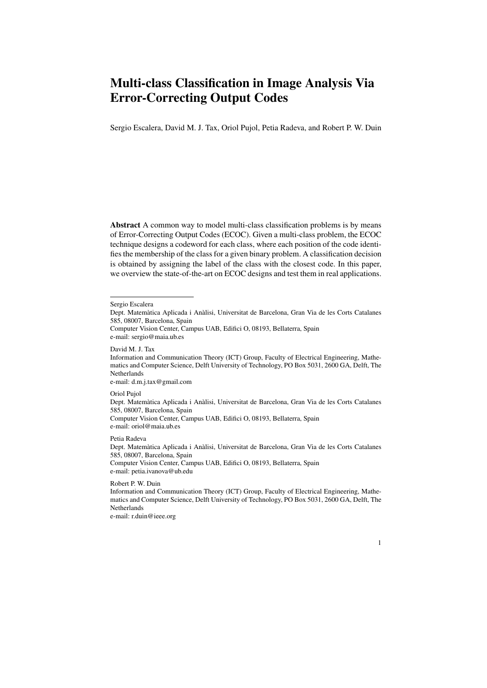# Multi-class Classification in Image Analysis Via Error-Correcting Output Codes

Sergio Escalera, David M. J. Tax, Oriol Pujol, Petia Radeva, and Robert P. W. Duin

Abstract A common way to model multi-class classification problems is by means of Error-Correcting Output Codes (ECOC). Given a multi-class problem, the ECOC technique designs a codeword for each class, where each position of the code identifies the membership of the class for a given binary problem. A classification decision is obtained by assigning the label of the class with the closest code. In this paper, we overview the state-of-the-art on ECOC designs and test them in real applications.

e-mail: d.m.j.tax@gmail.com

#### Oriol Pujol

Dept. Matemàtica Aplicada i Anàlisi, Universitat de Barcelona, Gran Via de les Corts Catalanes 585, 08007, Barcelona, Spain Computer Vision Center, Campus UAB, Edifici O, 08193, Bellaterra, Spain e-mail: oriol@maia.ub.es

Petia Radeva

Dept. Matemàtica Aplicada i Anàlisi, Universitat de Barcelona, Gran Via de les Corts Catalanes 585, 08007, Barcelona, Spain

Computer Vision Center, Campus UAB, Edifici O, 08193, Bellaterra, Spain e-mail: petia.ivanova@ub.edu

Robert P. W. Duin

e-mail: r.duin@ieee.org



Sergio Escalera

Dept. Matemàtica Aplicada i Anàlisi, Universitat de Barcelona, Gran Via de les Corts Catalanes 585, 08007, Barcelona, Spain

Computer Vision Center, Campus UAB, Edifici O, 08193, Bellaterra, Spain e-mail: sergio@maia.ub.es

David M. J. Tax

Information and Communication Theory (ICT) Group, Faculty of Electrical Engineering, Mathematics and Computer Science, Delft University of Technology, PO Box 5031, 2600 GA, Delft, The Netherlands

Information and Communication Theory (ICT) Group, Faculty of Electrical Engineering, Mathematics and Computer Science, Delft University of Technology, PO Box 5031, 2600 GA, Delft, The **Netherlands**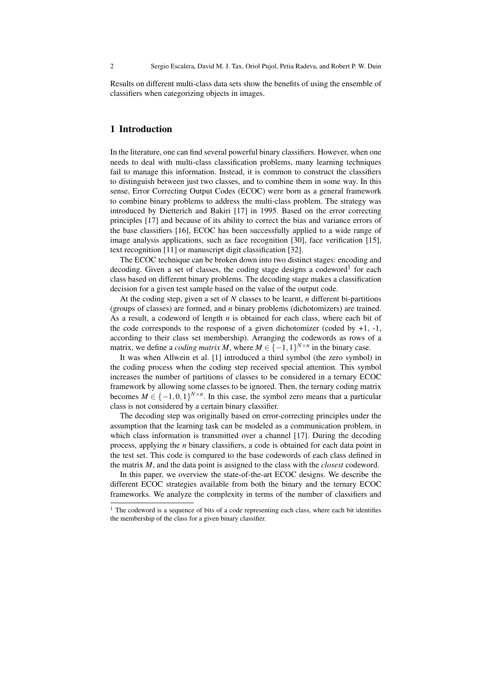Results on different multi-class data sets show the benefits of using the ensemble of classifiers when categorizing objects in images.

# 1 Introduction

In the literature, one can find several powerful binary classifiers. However, when one needs to deal with multi-class classification problems, many learning techniques fail to manage this information. Instead, it is common to construct the classifiers to distinguish between just two classes, and to combine them in some way. In this sense, Error Correcting Output Codes (ECOC) were born as a general framework to combine binary problems to address the multi-class problem. The strategy was introduced by Dietterich and Bakiri [17] in 1995. Based on the error correcting principles [17] and because of its ability to correct the bias and variance errors of the base classifiers [16], ECOC has been successfully applied to a wide range of image analysis applications, such as face recognition [30], face verification [15], text recognition [11] or manuscript digit classification [32].

The ECOC technique can be broken down into two distinct stages: encoding and decoding. Given a set of classes, the coding stage designs a codeword<sup>1</sup> for each class based on different binary problems. The decoding stage makes a classification decision for a given test sample based on the value of the output code.

At the coding step, given a set of *N* classes to be learnt, *n* different bi-partitions (groups of classes) are formed, and *n* binary problems (dichotomizers) are trained. As a result, a codeword of length *n* is obtained for each class, where each bit of the code corresponds to the response of a given dichotomizer (coded by  $+1$ ,  $-1$ , according to their class set membership). Arranging the codewords as rows of a matrix, we define a *coding matrix M*, where  $M \in \{-1,1\}^{N \times n}$  in the binary case.

It was when Allwein et al. [1] introduced a third symbol (the zero symbol) in the coding process when the coding step received special attention. This symbol increases the number of partitions of classes to be considered in a ternary ECOC framework by allowing some classes to be ignored. Then, the ternary coding matrix becomes  $M \in \{-1,0,1\}^{N \times n}$ . In this case, the symbol zero means that a particular class is not considered by a certain binary classifier.

The decoding step was originally based on error-correcting principles under the assumption that the learning task can be modeled as a communication problem, in which class information is transmitted over a channel [17]. During the decoding process, applying the *n* binary classifiers, a code is obtained for each data point in the test set. This code is compared to the base codewords of each class defined in the matrix *M*, and the data point is assigned to the class with the *closest* codeword.

In this paper, we overview the state-of-the-art ECOC designs. We describe the different ECOC strategies available from both the binary and the ternary ECOC frameworks. We analyze the complexity in terms of the number of classifiers and

<sup>&</sup>lt;sup>1</sup> The codeword is a sequence of bits of a code representing each class, where each bit identifies the membership of the class for a given binary classifier.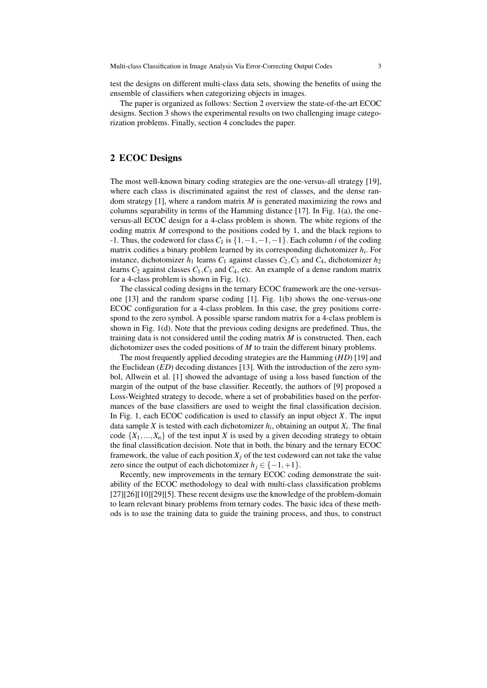test the designs on different multi-class data sets, showing the benefits of using the ensemble of classifiers when categorizing objects in images.

The paper is organized as follows: Section 2 overview the state-of-the-art ECOC designs. Section 3 shows the experimental results on two challenging image categorization problems. Finally, section 4 concludes the paper.

### 2 ECOC Designs

The most well-known binary coding strategies are the one-versus-all strategy [19], where each class is discriminated against the rest of classes, and the dense random strategy [1], where a random matrix *M* is generated maximizing the rows and columns separability in terms of the Hamming distance [17]. In Fig. 1(a), the oneversus-all ECOC design for a 4-class problem is shown. The white regions of the coding matrix *M* correspond to the positions coded by 1, and the black regions to -1. Thus, the codeword for class *C*<sup>1</sup> is *{*1*,−*1*,−*1*,−*1*}*. Each column *i* of the coding matrix codifies a binary problem learned by its corresponding dichotomizer *h<sup>i</sup>* . For instance, dichotomizer  $h_1$  learns  $C_1$  against classes  $C_2$ ,  $C_3$  and  $C_4$ , dichotomizer  $h_2$ learns  $C_2$  against classes  $C_1$ ,  $C_3$  and  $C_4$ , etc. An example of a dense random matrix for a 4-class problem is shown in Fig. 1(c).

The classical coding designs in the ternary ECOC framework are the one-versusone [13] and the random sparse coding [1]. Fig. 1(b) shows the one-versus-one ECOC configuration for a 4-class problem. In this case, the grey positions correspond to the zero symbol. A possible sparse random matrix for a 4-class problem is shown in Fig. 1(d). Note that the previous coding designs are predefined. Thus, the training data is not considered until the coding matrix *M* is constructed. Then, each dichotomizer uses the coded positions of *M* to train the different binary problems.

The most frequently applied decoding strategies are the Hamming (*HD*) [19] and the Euclidean (*ED*) decoding distances [13]. With the introduction of the zero symbol, Allwein et al. [1] showed the advantage of using a loss based function of the margin of the output of the base classifier. Recently, the authors of [9] proposed a Loss-Weighted strategy to decode, where a set of probabilities based on the performances of the base classifiers are used to weight the final classification decision. In Fig. 1, each ECOC codification is used to classify an input object *X*. The input data sample *X* is tested with each dichotomizer  $h_i$ , obtaining an output  $X_i$ . The final code  $\{X_1, ..., X_n\}$  of the test input X is used by a given decoding strategy to obtain the final classification decision. Note that in both, the binary and the ternary ECOC framework, the value of each position  $X_i$  of the test codeword can not take the value zero since the output of each dichotomizer  $h_j \in \{-1, +1\}$ .

Recently, new improvements in the ternary ECOC coding demonstrate the suitability of the ECOC methodology to deal with multi-class classification problems [27][26][10][29][5]. These recent designs use the knowledge of the problem-domain to learn relevant binary problems from ternary codes. The basic idea of these methods is to use the training data to guide the training process, and thus, to construct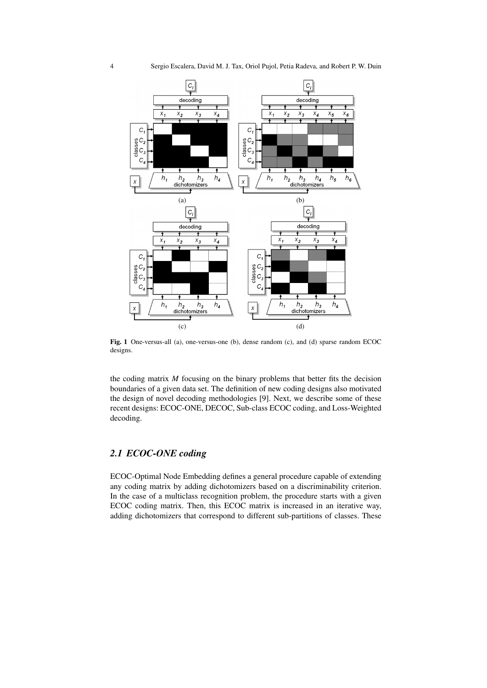

Fig. 1 One-versus-all (a), one-versus-one (b), dense random (c), and (d) sparse random ECOC designs.

the coding matrix *M* focusing on the binary problems that better fits the decision boundaries of a given data set. The definition of new coding designs also motivated the design of novel decoding methodologies [9]. Next, we describe some of these recent designs: ECOC-ONE, DECOC, Sub-class ECOC coding, and Loss-Weighted decoding.

# *2.1 ECOC-ONE coding*

ECOC-Optimal Node Embedding defines a general procedure capable of extending any coding matrix by adding dichotomizers based on a discriminability criterion. In the case of a multiclass recognition problem, the procedure starts with a given ECOC coding matrix. Then, this ECOC matrix is increased in an iterative way, adding dichotomizers that correspond to different sub-partitions of classes. These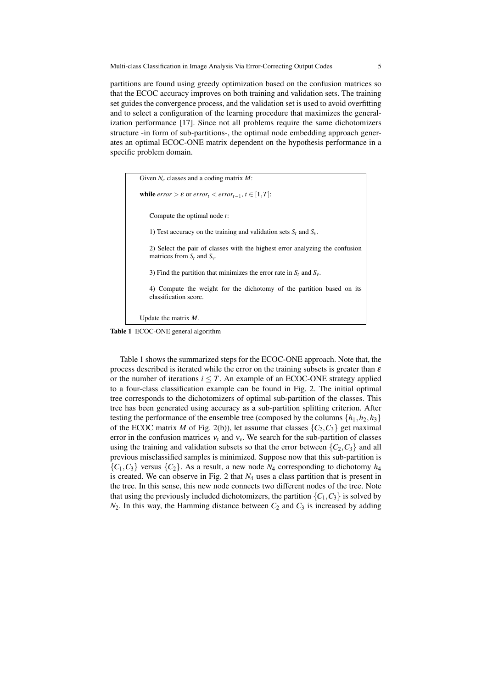Multi-class Classification in Image Analysis Via Error-Correcting Output Codes 5

partitions are found using greedy optimization based on the confusion matrices so that the ECOC accuracy improves on both training and validation sets. The training set guides the convergence process, and the validation set is used to avoid overfitting and to select a configuration of the learning procedure that maximizes the generalization performance [17]. Since not all problems require the same dichotomizers structure -in form of sub-partitions-, the optimal node embedding approach generates an optimal ECOC-ONE matrix dependent on the hypothesis performance in a specific problem domain.

Given *N<sup>c</sup>* classes and a coding matrix *M*: **while**  $error > \varepsilon$  or  $error_t < error_{t-1}, t \in [1, T]$ : Compute the optimal node *t*: 1) Test accuracy on the training and validation sets  $S_t$  and  $S_v$ . 2) Select the pair of classes with the highest error analyzing the confusion matrices from  $S_t$  and  $S_v$ . 3) Find the partition that minimizes the error rate in  $S_t$  and  $S_v$ . 4) Compute the weight for the dichotomy of the partition based on its classification score. Update the matrix *M*.

Table 1 ECOC-ONE general algorithm

Table 1 shows the summarized steps for the ECOC-ONE approach. Note that, the process described is iterated while the error on the training subsets is greater than  $\varepsilon$ or the number of iterations  $i \leq T$ . An example of an ECOC-ONE strategy applied to a four-class classification example can be found in Fig. 2. The initial optimal tree corresponds to the dichotomizers of optimal sub-partition of the classes. This tree has been generated using accuracy as a sub-partition splitting criterion. After testing the performance of the ensemble tree (composed by the columns  $\{h_1, h_2, h_3\}$ of the ECOC matrix *M* of Fig. 2(b)), let assume that classes  ${C_2, C_3}$  get maximal error in the confusion matrices  $v_t$  and  $v_y$ . We search for the sub-partition of classes using the training and validation subsets so that the error between  $\{C_2, C_3\}$  and all previous misclassified samples is minimized. Suppose now that this sub-partition is  ${C_1, C_3}$  versus  ${C_2}$ . As a result, a new node  $N_4$  corresponding to dichotomy  $h_4$ is created. We can observe in Fig. 2 that  $N_4$  uses a class partition that is present in the tree. In this sense, this new node connects two different nodes of the tree. Note that using the previously included dichotomizers, the partition  $\{C_1, C_3\}$  is solved by  $N_2$ . In this way, the Hamming distance between  $C_2$  and  $C_3$  is increased by adding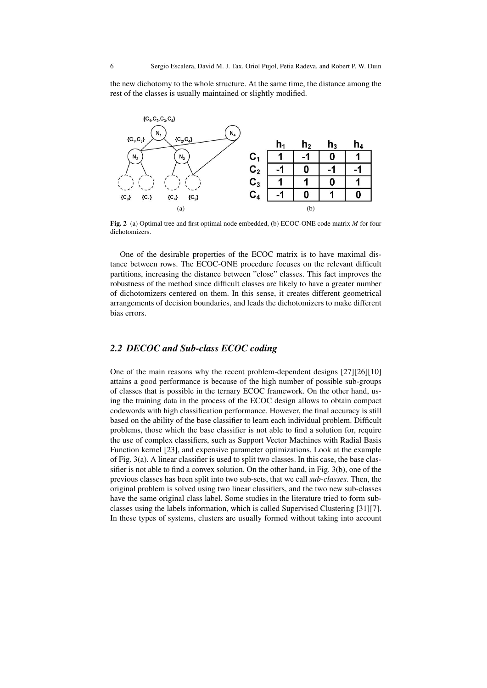the new dichotomy to the whole structure. At the same time, the distance among the rest of the classes is usually maintained or slightly modified.



Fig. 2 (a) Optimal tree and first optimal node embedded, (b) ECOC-ONE code matrix *M* for four dichotomizers.

One of the desirable properties of the ECOC matrix is to have maximal distance between rows. The ECOC-ONE procedure focuses on the relevant difficult partitions, increasing the distance between "close" classes. This fact improves the robustness of the method since difficult classes are likely to have a greater number of dichotomizers centered on them. In this sense, it creates different geometrical arrangements of decision boundaries, and leads the dichotomizers to make different bias errors.

### *2.2 DECOC and Sub-class ECOC coding*

One of the main reasons why the recent problem-dependent designs [27][26][10] attains a good performance is because of the high number of possible sub-groups of classes that is possible in the ternary ECOC framework. On the other hand, using the training data in the process of the ECOC design allows to obtain compact codewords with high classification performance. However, the final accuracy is still based on the ability of the base classifier to learn each individual problem. Difficult problems, those which the base classifier is not able to find a solution for, require the use of complex classifiers, such as Support Vector Machines with Radial Basis Function kernel [23], and expensive parameter optimizations. Look at the example of Fig. 3(a). A linear classifier is used to split two classes. In this case, the base classifier is not able to find a convex solution. On the other hand, in Fig. 3(b), one of the previous classes has been split into two sub-sets, that we call *sub-classes*. Then, the original problem is solved using two linear classifiers, and the two new sub-classes have the same original class label. Some studies in the literature tried to form subclasses using the labels information, which is called Supervised Clustering [31][7]. In these types of systems, clusters are usually formed without taking into account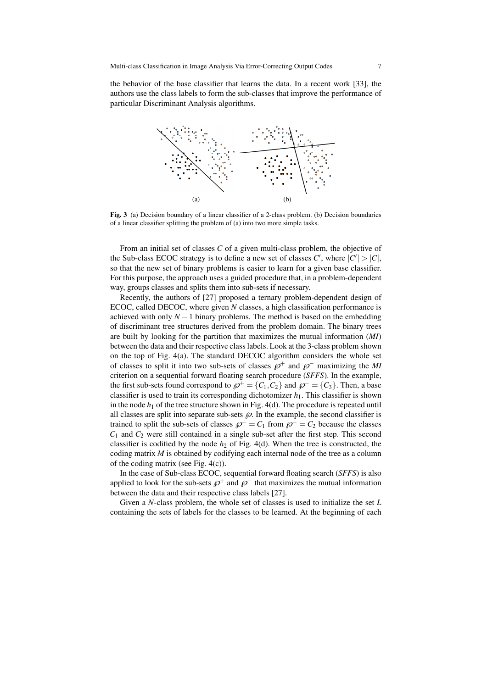the behavior of the base classifier that learns the data. In a recent work [33], the authors use the class labels to form the sub-classes that improve the performance of particular Discriminant Analysis algorithms.



Fig. 3 (a) Decision boundary of a linear classifier of a 2-class problem. (b) Decision boundaries of a linear classifier splitting the problem of (a) into two more simple tasks.

From an initial set of classes *C* of a given multi-class problem, the objective of the Sub-class ECOC strategy is to define a new set of classes  $C'$ , where  $|C'| > |C|$ , so that the new set of binary problems is easier to learn for a given base classifier. For this purpose, the approach uses a guided procedure that, in a problem-dependent way, groups classes and splits them into sub-sets if necessary.

Recently, the authors of [27] proposed a ternary problem-dependent design of ECOC, called DECOC, where given *N* classes, a high classification performance is achieved with only *N −*1 binary problems. The method is based on the embedding of discriminant tree structures derived from the problem domain. The binary trees are built by looking for the partition that maximizes the mutual information (*MI*) between the data and their respective class labels. Look at the 3-class problem shown on the top of Fig. 4(a). The standard DECOC algorithm considers the whole set of classes to split it into two sub-sets of classes  $\wp^+$  and  $\wp^-$  maximizing the *MI* criterion on a sequential forward floating search procedure (*SFFS*). In the example, the first sub-sets found correspond to  $\wp^+ = \{C_1, C_2\}$  and  $\wp^- = \{C_3\}$ . Then, a base classifier is used to train its corresponding dichotomizer *h*1. This classifier is shown in the node  $h_1$  of the tree structure shown in Fig. 4(d). The procedure is repeated until all classes are split into separate sub-sets  $\wp$ . In the example, the second classifier is trained to split the sub-sets of classes  $\wp^+ = C_1$  from  $\wp^- = C_2$  because the classes  $C_1$  and  $C_2$  were still contained in a single sub-set after the first step. This second classifier is codified by the node  $h_2$  of Fig. 4(d). When the tree is constructed, the coding matrix *M* is obtained by codifying each internal node of the tree as a column of the coding matrix (see Fig. 4(c)).

In the case of Sub-class ECOC, sequential forward floating search (*SFFS*) is also applied to look for the sub-sets  $\wp^+$  and  $\wp^-$  that maximizes the mutual information between the data and their respective class labels [27].

Given a *N*-class problem, the whole set of classes is used to initialize the set *L* containing the sets of labels for the classes to be learned. At the beginning of each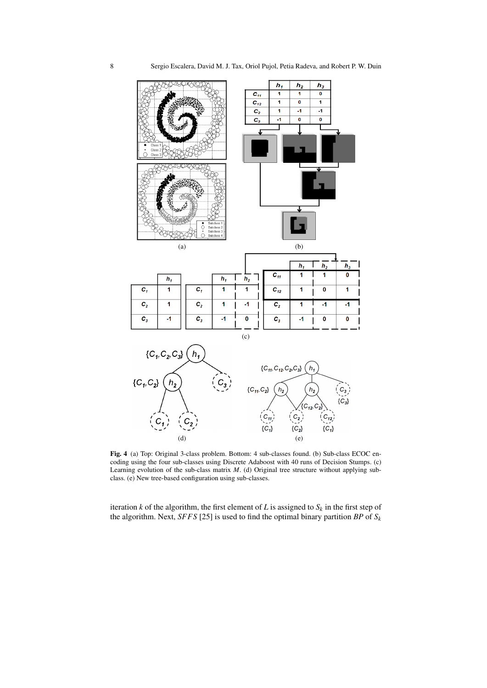

Fig. 4 (a) Top: Original 3-class problem. Bottom: 4 sub-classes found. (b) Sub-class ECOC encoding using the four sub-classes using Discrete Adaboost with 40 runs of Decision Stumps. (c) Learning evolution of the sub-class matrix *M*. (d) Original tree structure without applying subclass. (e) New tree-based configuration using sub-classes.

iteration *k* of the algorithm, the first element of *L* is assigned to *S<sup>k</sup>* in the first step of the algorithm. Next, *SFFS* [25] is used to find the optimal binary partition *BP* of  $S_k$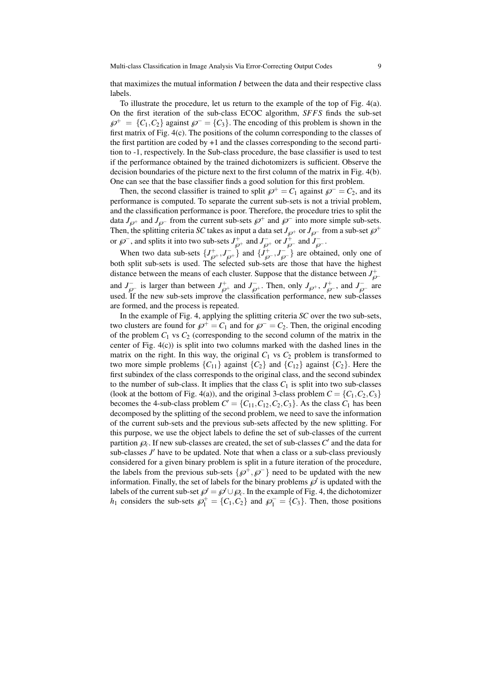that maximizes the mutual information *I* between the data and their respective class labels.

To illustrate the procedure, let us return to the example of the top of Fig. 4(a). On the first iteration of the sub-class ECOC algorithm, *SFFS* finds the sub-set  $\wp^+ = \{C_1, C_2\}$  against  $\wp^- = \{C_3\}$ . The encoding of this problem is shown in the first matrix of Fig. 4(c). The positions of the column corresponding to the classes of the first partition are coded by  $+1$  and the classes corresponding to the second partition to -1, respectively. In the Sub-class procedure, the base classifier is used to test if the performance obtained by the trained dichotomizers is sufficient. Observe the decision boundaries of the picture next to the first column of the matrix in Fig. 4(b). One can see that the base classifier finds a good solution for this first problem.

Then, the second classifier is trained to split  $\wp^+ = C_1$  against  $\wp^- = C_2$ , and its performance is computed. To separate the current sub-sets is not a trivial problem, and the classification performance is poor. Therefore, the procedure tries to split the data  $J_{\wp}$ + and  $J_{\wp}$ − from the current sub-sets  $\wp$ <sup>+</sup> and  $\wp$ <sup>−</sup> into more simple sub-sets. Then, the splitting criteria *SC* takes as input a data set  $J_{\wp^+}$  or  $J_{\wp^-}$  from a sub-set  $\wp^+$ or  $\wp^-$ , and splits it into two sub-sets  $J^+_{\wp^+}$  and  $J^-_{\wp^+}$  or  $J^+_{\wp^-}$  and  $J^-_{\wp^-}$ .

When two data sub-sets  $\{J^+_{\beta}$ ,  $J^-_{\beta}$  and  $\{J^+_{\beta}$ ,  $J^-_{\beta}$  are obtained, only one of both split sub-sets is used. The selected sub-sets are those that have the highest distance between the means of each cluster. Suppose that the distance between  $J^+_{\beta}$ and  $J_{\beta}^-$  is larger than between  $J_{\beta}^+$  and  $J_{\beta}^-$ . Then, only  $J_{\beta}^+$ ,  $J_{\beta}^+$ , and  $J_{\beta}^-$  are used. If the new sub-sets improve the classification performance, new sub-classes are formed, and the process is repeated.

In the example of Fig. 4, applying the splitting criteria *SC* over the two sub-sets, two clusters are found for  $\wp^+ = C_1$  and for  $\wp^- = C_2$ . Then, the original encoding of the problem  $C_1$  vs  $C_2$  (corresponding to the second column of the matrix in the center of Fig.  $4(c)$ ) is split into two columns marked with the dashed lines in the matrix on the right. In this way, the original  $C_1$  vs  $C_2$  problem is transformed to two more simple problems  ${C_{11}}$  against  ${C_2}$  and  ${C_{12}}$  against  ${C_2}$ . Here the first subindex of the class corresponds to the original class, and the second subindex to the number of sub-class. It implies that the class  $C_1$  is split into two sub-classes (look at the bottom of Fig. 4(a)), and the original 3-class problem  $C = \{C_1, C_2, C_3\}$ becomes the 4-sub-class problem  $C' = \{C_{11}, C_{12}, C_2, C_3\}$ . As the class  $C_1$  has been decomposed by the splitting of the second problem, we need to save the information of the current sub-sets and the previous sub-sets affected by the new splitting. For this purpose, we use the object labels to define the set of sub-classes of the current partition  $\rho_c$ . If new sub-classes are created, the set of sub-classes  $C'$  and the data for sub-classes *J ′* have to be updated. Note that when a class or a sub-class previously considered for a given binary problem is split in a future iteration of the procedure, the labels from the previous sub-sets  $\{\wp^+, \wp^-\}$  need to be updated with the new information. Finally, the set of labels for the binary problems  $\mathscr{A}$  is updated with the labels of the current sub-set  $\mathscr{O}' = \mathscr{O}' \cup \mathscr{O}_c$ . In the example of Fig. 4, the dichotomizer *h*<sub>1</sub> considers the sub-sets  $\wp_1^+ = \{C_1, C_2\}$  and  $\wp_1^- = \{C_3\}$ . Then, those positions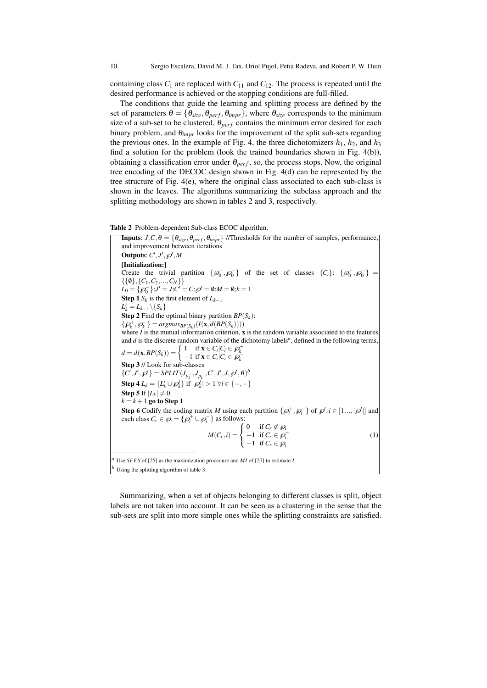containing class  $C_1$  are replaced with  $C_{11}$  and  $C_{12}$ . The process is repeated until the desired performance is achieved or the stopping conditions are full-filled.

The conditions that guide the learning and splitting process are defined by the set of parameters  $\theta = {\theta_{size}, \theta_{perf}, \theta_{impr}}$ , where  $\theta_{size}$  corresponds to the minimum size of a sub-set to be clustered,  $\theta_{perf}$  contains the minimum error desired for each binary problem, and <sup>θ</sup>*impr* looks for the improvement of the split sub-sets regarding the previous ones. In the example of Fig. 4, the three dichotomizers  $h_1$ ,  $h_2$ , and  $h_3$ find a solution for the problem (look the trained boundaries shown in Fig. 4(b)), obtaining a classification error under  $\theta_{perf}$ , so, the process stops. Now, the original tree encoding of the DECOC design shown in Fig. 4(d) can be represented by the tree structure of Fig. 4(e), where the original class associated to each sub-class is shown in the leaves. The algorithms summarizing the subclass approach and the splitting methodology are shown in tables 2 and 3, respectively.

#### Table 2 Problem-dependent Sub-class ECOC algorithm.

**Inputs:**  $J, C, \theta = \{\theta_{size}, \theta_{perf}, \theta_{impr}\}$  //Thresholds for the number of samples, performance, and improvement between iterations Outputs:  $C', J', \mathcal{O}', M$ [Initialization:] Create the trivial partition  $\{\wp_0^+, \wp_0^-\}$  of the set of classes  $\{C_i\}$ :  $\{\wp_0^+, \wp_0^-\}$ *{{*/0*},{C*1*,C*2*,...,CN}}*  $\hat{L}_0 = \{ \wp_0^-\}; J' = J; C' = C; \wp' = \emptyset; M = \emptyset; k = 1$ **Step 1**  $S_k$  is the first element of  $L_{k-1}$  $L'_{k} = L_{k-1} \setminus \{S_{k}\}$ **Step 2** Find the optimal binary partition  $BP(S_k)$ :  $\{\wp_k^{\dagger}, \wp_k^{\dagger}\} = \text{argmax}_{BP(S_k)}(I(\mathbf{x},d(BP(S_k))))$ where  $\vec{l}$  is the mutual information criterion,  $\bf{x}$  is the random variable associated to the features and  $d$  is the discrete random variable of the dichotomy labels<sup> $a$ </sup>, defined in the following terms,  $d = d(\mathbf{x}, BP(S_k)) = \begin{cases} 1 & \text{if } \mathbf{x} \in C_i | C_i \in \mathcal{P}_k^+ \\ -1 & \text{if } \mathbf{x} \in C_i | C_i \in \mathcal{P}_k^- \end{cases}$ Step 3 // Look for sub-classes  $\{C',J',\mathscr{G}'\}=SPLIT(J_{p_k^+},J_{p_k^-},C',J',J,\mathscr{G}',\theta)^b$ Step 4  $L_k = \{L'_k \cup \mathcal{O}'_k\}$  if  $|\mathcal{O}'_k| > 1 \ \forall i \in \{+, -\}$ Step 5 If  $|L_k| \neq 0$  $k = k + 1$  go to Step 1 Step 6 Codify the coding matrix *M* using each partition  $\{\wp_i^+$  each class  $C_r \in \wp_i = \{\wp_i^+ \cup \wp_i^-\}$  as follows: *,*  $\mathcal{P}_i^-$ } of  $\mathcal{P}', i \in [1, \dots, |\mathcal{P}'|]$  and  $M(C_r, i) =$  $\int$  $\mathcal{L}$ 0 if  $C_r \notin \mathcal{O}_i$ +1 if *C<sub><i>r*</sub> ∈  $\wp_i^+$ <br>-1 if *C<sub>r</sub>* ∈  $\wp_i^-$ (1) Use *SFFS* of [25] as the maximization procedure and *MI* of [27] to estimate *I* Using the splitting algorithm of table 3.

Summarizing, when a set of objects belonging to different classes is split, object labels are not taken into account. It can be seen as a clustering in the sense that the sub-sets are split into more simple ones while the splitting constraints are satisfied.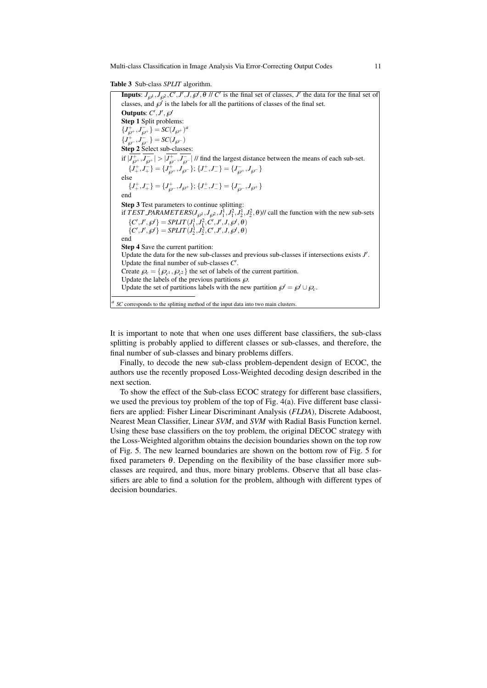Multi-class Classification in Image Analysis Via Error-Correcting Output Codes 11

Table 3 Sub-class *SPLIT* algorithm.

*a*

**Inputs**:  $J_{\wp 1}, J_{\wp 2}, C', J', J, \wp 1, \Theta \text{ // } C'$  is the final set of classes, J' the data for the final set of classes, and  $\cancel{\rho'}$  is the labels for all the partitions of classes of the final set. Outputs:  $C', J', \mathcal{O}'$ Step 1 Split problems:  $\{J_{\wp}^+, J_{\wp}^-\} = \text{SC}(J_{\wp^+})^a$  $\{J_{\beta^{-}}^{+}, J_{\beta^{-}}^{-}\} = SC(J_{\beta^{-}})$ Step 2 Select sub-classes:  $\frac{d}{dt} |\overline{J_{\beta}^{+}}, \overline{J_{\beta}^{-}}| > |\overline{J_{\beta}^{+}}, \overline{J_{\beta}^{-}}|$  // find the largest distance between the means of each sub-set.  $\{J^+_+, J^-_+\} = \{J^+_{\beta^+}, J^-_{\beta^-}\}; \, \{J^+_-, J^-_-\} = \{J^-_{\beta^+}, J^-_{\beta^-}\}$ else  $\{J^+_+, J^-_+\} = \{J^+_{\beta^+}, J_{\beta^+}\}; \, \{J^+_-, J^-_-\} = \{J^-_{\beta^-}, J_{\beta^+}\}$ end Step 3 Test parameters to continue splitting: if *TEST* PARAMETERS( $J_{\wp 1}$ , $J_{\wp 2}$ , $J_1^1$ , $J_1^2$ , $J_2^1$ , $J_2^2$ , $\theta$ )// call the function with the new sub-sets  ${C', J', \wp'}$  = *SPLIT*( $J_1^1, J_2^2, C', J', J, \wp', \theta$ )  ${C', J', \wp'} = SPLIT(\dot{J}_2^1, \dot{J}_2^2, C', J', J, \wp', \theta)$ end Step 4 Save the current partition: Update the data for the new sub-classes and previous sub-classes if intersections exists *J ′* . Update the final number of sub-classes *C ′* . Create  $\wp_c = {\wp_c \choose 1, \wp_c 2}$  the set of labels of the current partition. Update the labels of the previous partitions  $\wp$ . Update the set of partitions labels with the new partition  $\mathscr{A} = \mathscr{A} \cup \mathscr{D}_c$ . *SC* corresponds to the splitting method of the input data into two main clusters.

It is important to note that when one uses different base classifiers, the sub-class splitting is probably applied to different classes or sub-classes, and therefore, the final number of sub-classes and binary problems differs.

Finally, to decode the new sub-class problem-dependent design of ECOC, the authors use the recently proposed Loss-Weighted decoding design described in the next section.

To show the effect of the Sub-class ECOC strategy for different base classifiers, we used the previous toy problem of the top of Fig. 4(a). Five different base classifiers are applied: Fisher Linear Discriminant Analysis (*FLDA*), Discrete Adaboost, Nearest Mean Classifier, Linear *SVM*, and *SVM* with Radial Basis Function kernel. Using these base classifiers on the toy problem, the original DECOC strategy with the Loss-Weighted algorithm obtains the decision boundaries shown on the top row of Fig. 5. The new learned boundaries are shown on the bottom row of Fig. 5 for fixed parameters  $\theta$ . Depending on the flexibility of the base classifier more subclasses are required, and thus, more binary problems. Observe that all base classifiers are able to find a solution for the problem, although with different types of decision boundaries.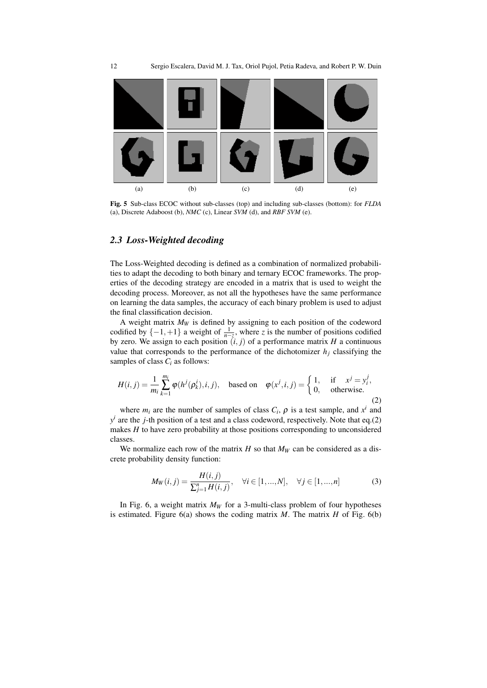

Fig. 5 Sub-class ECOC without sub-classes (top) and including sub-classes (bottom): for *FLDA* (a), Discrete Adaboost (b), *NMC* (c), Linear *SVM* (d), and *RBF SVM* (e).

### *2.3 Loss-Weighted decoding*

The Loss-Weighted decoding is defined as a combination of normalized probabilities to adapt the decoding to both binary and ternary ECOC frameworks. The properties of the decoding strategy are encoded in a matrix that is used to weight the decoding process. Moreover, as not all the hypotheses have the same performance on learning the data samples, the accuracy of each binary problem is used to adjust the final classification decision.

A weight matrix  $M_W$  is defined by assigning to each position of the codeword codified by  $\{-1, +1\}$  a weight of  $\frac{1}{n-z}$ , where *z* is the number of positions codified by zero. We assign to each position (*i, j*) of a performance matrix *H* a continuous value that corresponds to the performance of the dichotomizer  $h_j$  classifying the samples of class *C<sup>i</sup>* as follows:

$$
H(i,j) = \frac{1}{m_i} \sum_{k=1}^{m_i} \varphi(h^j(\rho^i_k), i, j), \quad \text{based on} \quad \varphi(x^j, i, j) = \begin{cases} 1, & \text{if } x^j = y^j_i, \\ 0, & \text{otherwise.} \end{cases} \tag{2}
$$

where  $m_i$  are the number of samples of class  $C_i$ ,  $\rho$  is a test sample, and  $x^i$  and  $y^i$  are the *j*-th position of a test and a class codeword, respectively. Note that eq.(2) makes *H* to have zero probability at those positions corresponding to unconsidered classes.

We normalize each row of the matrix  $H$  so that  $M_W$  can be considered as a discrete probability density function:

$$
M_W(i,j) = \frac{H(i,j)}{\sum_{j=1}^n H(i,j)}, \quad \forall i \in [1,...,N], \quad \forall j \in [1,...,n]
$$
 (3)

In Fig. 6, a weight matrix  $M_W$  for a 3-multi-class problem of four hypotheses is estimated. Figure  $6(a)$  shows the coding matrix *M*. The matrix *H* of Fig.  $6(b)$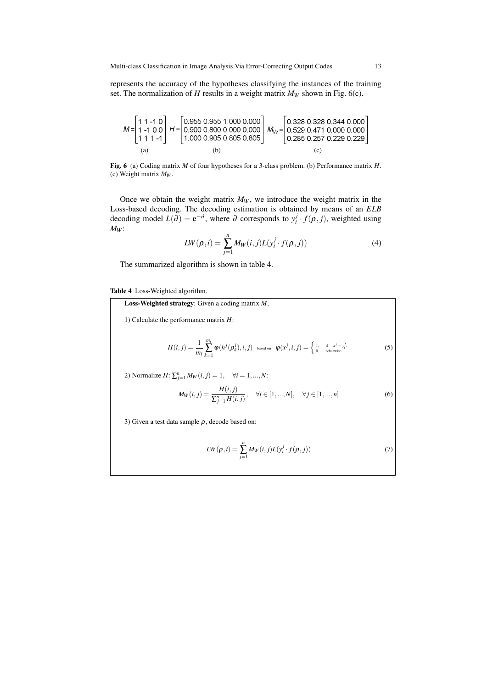represents the accuracy of the hypotheses classifying the instances of the training set. The normalization of  $H$  results in a weight matrix  $M_W$  shown in Fig. 6(c).

$$
M = \begin{bmatrix} 1 & 1 & -1 & 0 \\ 1 & -1 & 0 & 0 \\ 1 & 1 & 1 & -1 \end{bmatrix} \quad H = \begin{bmatrix} 0.955 & 0.955 & 1.000 & 0.000 \\ 0.900 & 0.800 & 0.000 & 0.000 \\ 1.000 & 0.905 & 0.805 & 0.805 \end{bmatrix} \quad M_W = \begin{bmatrix} 0.328 & 0.328 & 0.344 & 0.000 \\ 0.529 & 0.471 & 0.000 & 0.000 \\ 0.285 & 0.257 & 0.229 & 0.229 \end{bmatrix}
$$
\n(a)

Fig. 6 (a) Coding matrix *M* of four hypotheses for a 3-class problem. (b) Performance matrix *H*. (c) Weight matrix *M<sup>W</sup>* .

Once we obtain the weight matrix  $M_W$ , we introduce the weight matrix in the Loss-based decoding. The decoding estimation is obtained by means of an *ELB* decoding model  $L(\tilde{\theta}) = e^{-\theta}$ , where  $\tilde{\theta}$  corresponds to  $y_i^j \cdot f(\rho, j)$ , weighted using  $M_W$ :

$$
LW(\rho, i) = \sum_{j=1}^{n} M_W(i, j) L(y_i^j \cdot f(\rho, j))
$$
\n(4)

The summarized algorithm is shown in table 4.

Table 4 Loss-Weighted algorithm.

Loss-Weighted strategy: Given a coding matrix *M*, 1) Calculate the performance matrix *H*:  $H(i, j) = \frac{1}{m_i}$ *mi* ∑ *k*=1  $\varphi(h^j(\rho^i_k), i, j)$  based on  $\varphi(x^j, i, j) = \begin{cases} 1, & \text{if } x^j = y^j_i, \\ 0, & \text{otherwise.} \end{cases}$  (5)

2) Normalize  $H: \sum_{j=1}^{n} M_W(i, j) = 1, \quad \forall i = 1, ..., N$ :

$$
M_W(i,j) = \frac{H(i,j)}{\sum_{j=1}^n H(i,j)}, \quad \forall i \in [1,...,N], \quad \forall j \in [1,...,n]
$$
 (6)

3) Given a test data sample  $\rho$ , decode based on:

$$
LW(\rho, i) = \sum_{j=1}^{n} M_W(i, j) L(y_i^j \cdot f(\rho, j))
$$
\n(7)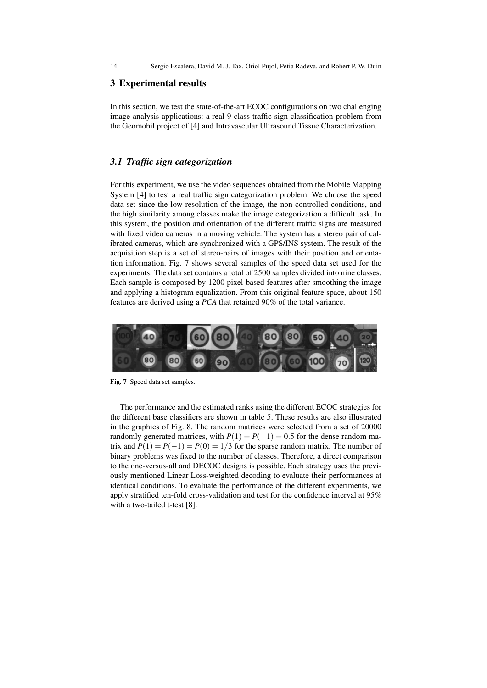### 3 Experimental results

In this section, we test the state-of-the-art ECOC configurations on two challenging image analysis applications: a real 9-class traffic sign classification problem from the Geomobil project of [4] and Intravascular Ultrasound Tissue Characterization.

### *3.1 Traffic sign categorization*

For this experiment, we use the video sequences obtained from the Mobile Mapping System [4] to test a real traffic sign categorization problem. We choose the speed data set since the low resolution of the image, the non-controlled conditions, and the high similarity among classes make the image categorization a difficult task. In this system, the position and orientation of the different traffic signs are measured with fixed video cameras in a moving vehicle. The system has a stereo pair of calibrated cameras, which are synchronized with a GPS/INS system. The result of the acquisition step is a set of stereo-pairs of images with their position and orientation information. Fig. 7 shows several samples of the speed data set used for the experiments. The data set contains a total of 2500 samples divided into nine classes. Each sample is composed by 1200 pixel-based features after smoothing the image and applying a histogram equalization. From this original feature space, about 150 features are derived using a *PCA* that retained 90% of the total variance.



Fig. 7 Speed data set samples.

The performance and the estimated ranks using the different ECOC strategies for the different base classifiers are shown in table 5. These results are also illustrated in the graphics of Fig. 8. The random matrices were selected from a set of 20000 randomly generated matrices, with  $P(1) = P(-1) = 0.5$  for the dense random matrix and  $P(1) = P(-1) = P(0) = 1/3$  for the sparse random matrix. The number of binary problems was fixed to the number of classes. Therefore, a direct comparison to the one-versus-all and DECOC designs is possible. Each strategy uses the previously mentioned Linear Loss-weighted decoding to evaluate their performances at identical conditions. To evaluate the performance of the different experiments, we apply stratified ten-fold cross-validation and test for the confidence interval at 95% with a two-tailed t-test [8].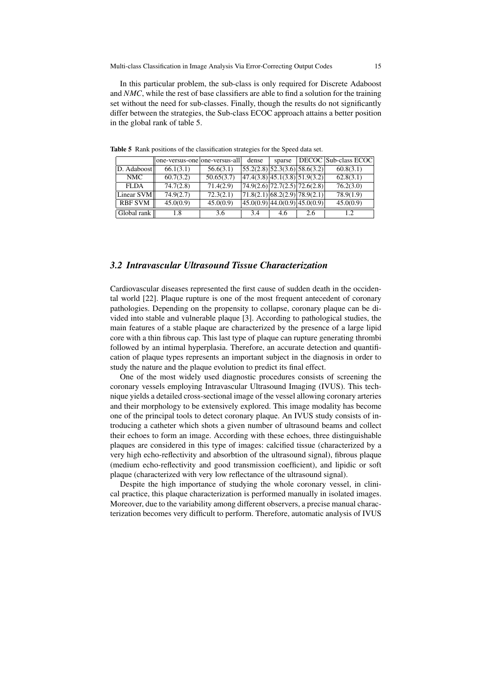In this particular problem, the sub-class is only required for Discrete Adaboost and *NMC*, while the rest of base classifiers are able to find a solution for the training set without the need for sub-classes. Finally, though the results do not significantly differ between the strategies, the Sub-class ECOC approach attains a better position in the global rank of table 5.

|                | one-versus-one one-versus-all |            | dense | sparse                                                  |     | DECOC Sub-class ECOC |
|----------------|-------------------------------|------------|-------|---------------------------------------------------------|-----|----------------------|
| D. Adaboost    | 66.1(3.1)                     | 56.6(3.1)  |       | [55.2(2.8) 52.3(3.6) 58.6(3.2)]                         |     | 60.8(3.1)            |
| NMC            | 60.7(3.2)                     | 50.65(3.7) |       | $\left 47.4(3.8)\right 45.1(3.8)\left 51.9(3.2)\right $ |     | 62.8(3.1)            |
| <b>FLDA</b>    | 74.7(2.8)                     | 71.4(2.9)  |       | $74.9(2.6)$ $72.7(2.5)$ $72.6(2.8)$                     |     | 76.2(3.0)            |
| Linear SVM     | 74.9(2.7)                     | 72.3(2.1)  |       | 71.8(2.1) 68.2(2.9) 78.9(2.1)                           |     | 78.9(1.9)            |
| <b>RBF SVM</b> | 45.0(0.9)                     | 45.0(0.9)  |       | 45.0(0.9) 44.0(0.9) 45.0(0.9)                           |     | 45.0(0.9)            |
| Global rank    | 1.8                           | 3.6        | 3.4   | 4.6                                                     | 2.6 | 1.2                  |

Table 5 Rank positions of the classification strategies for the Speed data set.

### *3.2 Intravascular Ultrasound Tissue Characterization*

Cardiovascular diseases represented the first cause of sudden death in the occidental world [22]. Plaque rupture is one of the most frequent antecedent of coronary pathologies. Depending on the propensity to collapse, coronary plaque can be divided into stable and vulnerable plaque [3]. According to pathological studies, the main features of a stable plaque are characterized by the presence of a large lipid core with a thin fibrous cap. This last type of plaque can rupture generating thrombi followed by an intimal hyperplasia. Therefore, an accurate detection and quantification of plaque types represents an important subject in the diagnosis in order to study the nature and the plaque evolution to predict its final effect.

One of the most widely used diagnostic procedures consists of screening the coronary vessels employing Intravascular Ultrasound Imaging (IVUS). This technique yields a detailed cross-sectional image of the vessel allowing coronary arteries and their morphology to be extensively explored. This image modality has become one of the principal tools to detect coronary plaque. An IVUS study consists of introducing a catheter which shots a given number of ultrasound beams and collect their echoes to form an image. According with these echoes, three distinguishable plaques are considered in this type of images: calcified tissue (characterized by a very high echo-reflectivity and absorbtion of the ultrasound signal), fibrous plaque (medium echo-reflectivity and good transmission coefficient), and lipidic or soft plaque (characterized with very low reflectance of the ultrasound signal).

Despite the high importance of studying the whole coronary vessel, in clinical practice, this plaque characterization is performed manually in isolated images. Moreover, due to the variability among different observers, a precise manual characterization becomes very difficult to perform. Therefore, automatic analysis of IVUS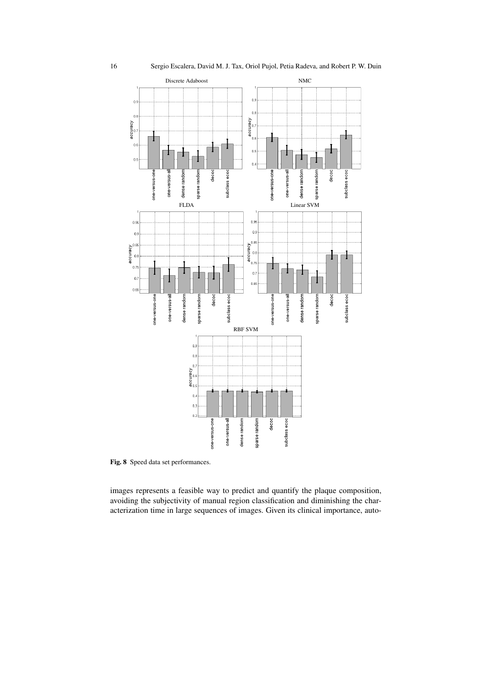

Fig. 8 Speed data set performances.

images represents a feasible way to predict and quantify the plaque composition, avoiding the subjectivity of manual region classification and diminishing the characterization time in large sequences of images. Given its clinical importance, auto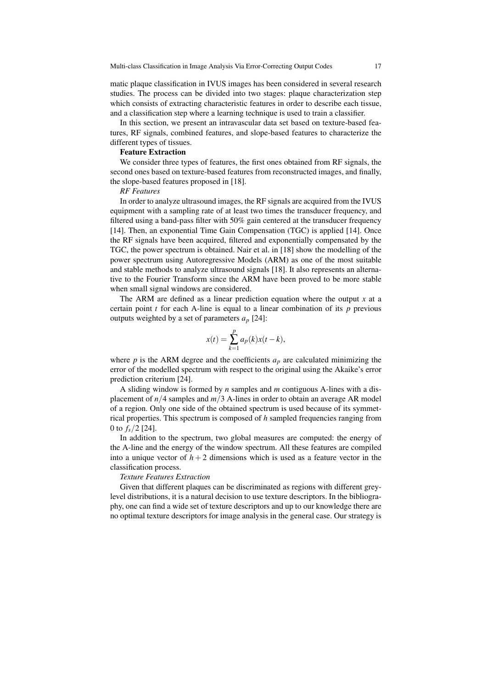matic plaque classification in IVUS images has been considered in several research studies. The process can be divided into two stages: plaque characterization step which consists of extracting characteristic features in order to describe each tissue, and a classification step where a learning technique is used to train a classifier.

In this section, we present an intravascular data set based on texture-based features, RF signals, combined features, and slope-based features to characterize the different types of tissues.

#### Feature Extraction

We consider three types of features, the first ones obtained from RF signals, the second ones based on texture-based features from reconstructed images, and finally, the slope-based features proposed in [18].

#### *RF Features*

In order to analyze ultrasound images, the RF signals are acquired from the IVUS equipment with a sampling rate of at least two times the transducer frequency, and filtered using a band-pass filter with 50% gain centered at the transducer frequency [14]. Then, an exponential Time Gain Compensation (TGC) is applied [14]. Once the RF signals have been acquired, filtered and exponentially compensated by the TGC, the power spectrum is obtained. Nair et al. in [18] show the modelling of the power spectrum using Autoregressive Models (ARM) as one of the most suitable and stable methods to analyze ultrasound signals [18]. It also represents an alternative to the Fourier Transform since the ARM have been proved to be more stable when small signal windows are considered.

The ARM are defined as a linear prediction equation where the output *x* at a certain point *t* for each A-line is equal to a linear combination of its *p* previous outputs weighted by a set of parameters  $a_p$  [24]:

$$
x(t) = \sum_{k=1}^{p} a_p(k)x(t-k),
$$

where  $p$  is the ARM degree and the coefficients  $a_p$  are calculated minimizing the error of the modelled spectrum with respect to the original using the Akaike's error prediction criterium [24].

A sliding window is formed by *n* samples and *m* contiguous A-lines with a displacement of  $n/4$  samples and  $m/3$  A-lines in order to obtain an average AR model of a region. Only one side of the obtained spectrum is used because of its symmetrical properties. This spectrum is composed of *h* sampled frequencies ranging from 0 to  $f_s/2$  [24].

In addition to the spectrum, two global measures are computed: the energy of the A-line and the energy of the window spectrum. All these features are compiled into a unique vector of  $h + 2$  dimensions which is used as a feature vector in the classification process.

#### *Texture Features Extraction*

Given that different plaques can be discriminated as regions with different greylevel distributions, it is a natural decision to use texture descriptors. In the bibliography, one can find a wide set of texture descriptors and up to our knowledge there are no optimal texture descriptors for image analysis in the general case. Our strategy is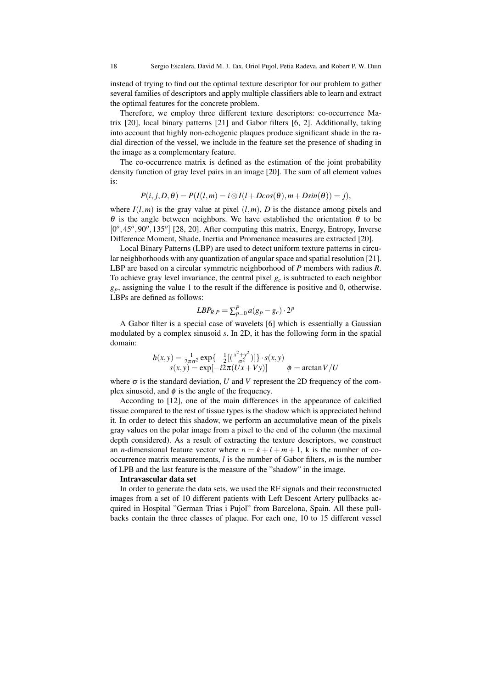instead of trying to find out the optimal texture descriptor for our problem to gather several families of descriptors and apply multiple classifiers able to learn and extract the optimal features for the concrete problem.

Therefore, we employ three different texture descriptors: co-occurrence Matrix [20], local binary patterns [21] and Gabor filters [6, 2]. Additionally, taking into account that highly non-echogenic plaques produce significant shade in the radial direction of the vessel, we include in the feature set the presence of shading in the image as a complementary feature.

The co-occurrence matrix is defined as the estimation of the joint probability density function of gray level pairs in an image [20]. The sum of all element values is:

$$
P(i, j, D, \theta) = P(I(l, m) = i \otimes I(l + Dcos(\theta), m + Dsin(\theta)) = j),
$$

where  $I(l,m)$  is the gray value at pixel  $(l,m)$ , *D* is the distance among pixels and <sup>θ</sup> is the angle between neighbors. We have established the orientation <sup>θ</sup> to be [0<sup>o</sup>, 45<sup>o</sup>, 90<sup>o</sup>, 135<sup>o</sup>] [28, 20]. After computing this matrix, Energy, Entropy, Inverse Difference Moment, Shade, Inertia and Promenance measures are extracted [20].

Local Binary Patterns (LBP) are used to detect uniform texture patterns in circular neighborhoods with any quantization of angular space and spatial resolution [21]. LBP are based on a circular symmetric neighborhood of *P* members with radius *R*. To achieve gray level invariance, the central pixel  $g_c$  is subtracted to each neighbor  $g_p$ , assigning the value 1 to the result if the difference is positive and 0, otherwise. LBPs are defined as follows:

$$
LBP_{R,P} = \sum_{p=0}^{P} a(g_p - g_c) \cdot 2^p
$$

A Gabor filter is a special case of wavelets [6] which is essentially a Gaussian modulated by a complex sinusoid *s*. In 2D, it has the following form in the spatial domain:

$$
h(x, y) = \frac{1}{2\pi\sigma^2} \exp\{-\frac{1}{2}[(\frac{x^2 + y^2}{\sigma^2})]\} \cdot s(x, y)
$$
  
 
$$
s(x, y) = \exp[-i2\pi(Ux + Vy)] \qquad \phi = \arctan V/U
$$

where  $\sigma$  is the standard deviation, *U* and *V* represent the 2D frequency of the complex sinusoid, and  $\phi$  is the angle of the frequency.

According to [12], one of the main differences in the appearance of calcified tissue compared to the rest of tissue types is the shadow which is appreciated behind it. In order to detect this shadow, we perform an accumulative mean of the pixels gray values on the polar image from a pixel to the end of the column (the maximal depth considered). As a result of extracting the texture descriptors, we construct an *n*-dimensional feature vector where  $n = k + l + m + 1$ , k is the number of cooccurrence matrix measurements, *l* is the number of Gabor filters, *m* is the number of LPB and the last feature is the measure of the "shadow" in the image.

#### Intravascular data set

In order to generate the data sets, we used the RF signals and their reconstructed images from a set of 10 different patients with Left Descent Artery pullbacks acquired in Hospital "German Trias i Pujol" from Barcelona, Spain. All these pullbacks contain the three classes of plaque. For each one, 10 to 15 different vessel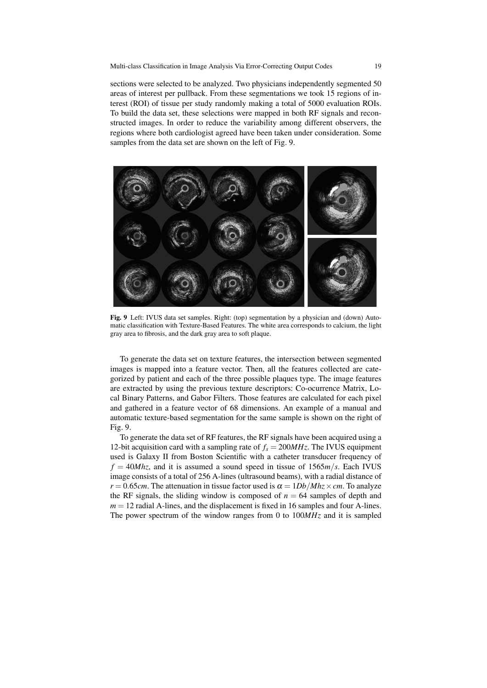sections were selected to be analyzed. Two physicians independently segmented 50 areas of interest per pullback. From these segmentations we took 15 regions of interest (ROI) of tissue per study randomly making a total of 5000 evaluation ROIs. To build the data set, these selections were mapped in both RF signals and reconstructed images. In order to reduce the variability among different observers, the regions where both cardiologist agreed have been taken under consideration. Some samples from the data set are shown on the left of Fig. 9.



Fig. 9 Left: IVUS data set samples. Right: (top) segmentation by a physician and (down) Automatic classification with Texture-Based Features. The white area corresponds to calcium, the light gray area to fibrosis, and the dark gray area to soft plaque.

To generate the data set on texture features, the intersection between segmented images is mapped into a feature vector. Then, all the features collected are categorized by patient and each of the three possible plaques type. The image features are extracted by using the previous texture descriptors: Co-ocurrence Matrix, Local Binary Patterns, and Gabor Filters. Those features are calculated for each pixel and gathered in a feature vector of 68 dimensions. An example of a manual and automatic texture-based segmentation for the same sample is shown on the right of Fig. 9.

To generate the data set of RF features, the RF signals have been acquired using a 12-bit acquisition card with a sampling rate of  $f_s = 200 MHz$ . The IVUS equipment used is Galaxy II from Boston Scientific with a catheter transducer frequency of  $f = 40Mhz$ , and it is assumed a sound speed in tissue of 1565 $m/s$ . Each IVUS image consists of a total of 256 A-lines (ultrasound beams), with a radial distance of  $r = 0.65$ *cm*. The attenuation in tissue factor used is  $\alpha = 1Db/Mhz \times cm$ . To analyze the RF signals, the sliding window is composed of  $n = 64$  samples of depth and *m* = 12 radial A-lines, and the displacement is fixed in 16 samples and four A-lines. The power spectrum of the window ranges from 0 to 100*MHz* and it is sampled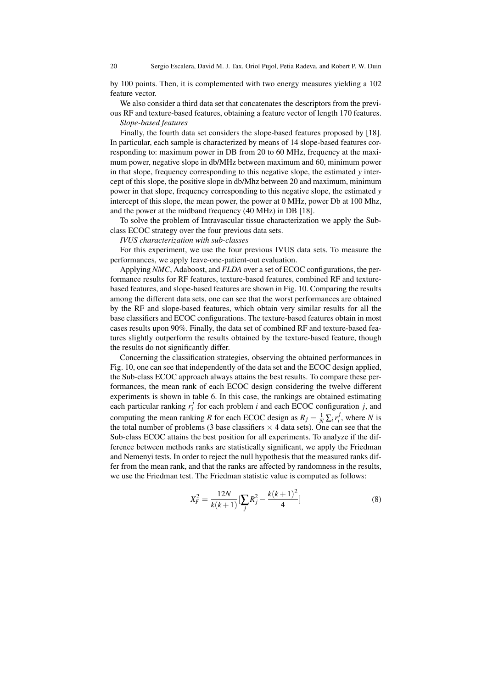by 100 points. Then, it is complemented with two energy measures yielding a 102 feature vector.

We also consider a third data set that concatenates the descriptors from the previous RF and texture-based features, obtaining a feature vector of length 170 features. *Slope-based features*

Finally, the fourth data set considers the slope-based features proposed by [18]. In particular, each sample is characterized by means of 14 slope-based features corresponding to: maximum power in DB from 20 to 60 MHz, frequency at the maximum power, negative slope in db/MHz between maximum and 60, minimum power in that slope, frequency corresponding to this negative slope, the estimated *y* intercept of this slope, the positive slope in db/Mhz between 20 and maximum, minimum power in that slope, frequency corresponding to this negative slope, the estimated *y* intercept of this slope, the mean power, the power at 0 MHz, power Db at 100 Mhz, and the power at the midband frequency (40 MHz) in DB [18].

To solve the problem of Intravascular tissue characterization we apply the Subclass ECOC strategy over the four previous data sets.

#### *IVUS characterization with sub-classes*

For this experiment, we use the four previous IVUS data sets. To measure the performances, we apply leave-one-patient-out evaluation.

Applying *NMC*, Adaboost, and *FLDA* over a set of ECOC configurations, the performance results for RF features, texture-based features, combined RF and texturebased features, and slope-based features are shown in Fig. 10. Comparing the results among the different data sets, one can see that the worst performances are obtained by the RF and slope-based features, which obtain very similar results for all the base classifiers and ECOC configurations. The texture-based features obtain in most cases results upon 90%. Finally, the data set of combined RF and texture-based features slightly outperform the results obtained by the texture-based feature, though the results do not significantly differ.

Concerning the classification strategies, observing the obtained performances in Fig. 10, one can see that independently of the data set and the ECOC design applied, the Sub-class ECOC approach always attains the best results. To compare these performances, the mean rank of each ECOC design considering the twelve different experiments is shown in table 6. In this case, the rankings are obtained estimating each particular ranking  $r_i^j$  for each problem *i* and each ECOC configuration *j*, and computing the mean ranking *R* for each ECOC design as  $R_j = \frac{1}{N} \sum_i r_i^j$ , where *N* is the total number of problems (3 base classifiers  $\times$  4 data sets). One can see that the Sub-class ECOC attains the best position for all experiments. To analyze if the difference between methods ranks are statistically significant, we apply the Friedman and Nemenyi tests. In order to reject the null hypothesis that the measured ranks differ from the mean rank, and that the ranks are affected by randomness in the results, we use the Friedman test. The Friedman statistic value is computed as follows:

$$
X_F^2 = \frac{12N}{k(k+1)} \left[ \sum_j R_j^2 - \frac{k(k+1)^2}{4} \right] \tag{8}
$$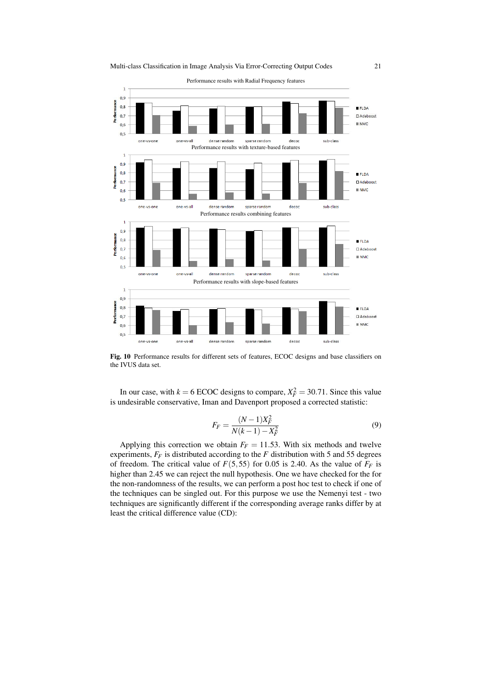

Fig. 10 Performance results for different sets of features, ECOC designs and base classifiers on the IVUS data set.

In our case, with  $k = 6$  ECOC designs to compare,  $X_F^2 = 30.71$ . Since this value is undesirable conservative, Iman and Davenport proposed a corrected statistic:

$$
F_F = \frac{(N-1)X_F^2}{N(k-1) - X_F^2}
$$
\n(9)

Applying this correction we obtain  $F_F = 11.53$ . With six methods and twelve experiments,  $F_F$  is distributed according to the  $F$  distribution with 5 and 55 degrees of freedom. The critical value of  $F(5,55)$  for 0.05 is 2.40. As the value of  $F<sub>F</sub>$  is higher than 2.45 we can reject the null hypothesis. One we have checked for the for the non-randomness of the results, we can perform a post hoc test to check if one of the techniques can be singled out. For this purpose we use the Nemenyi test - two techniques are significantly different if the corresponding average ranks differ by at least the critical difference value (CD):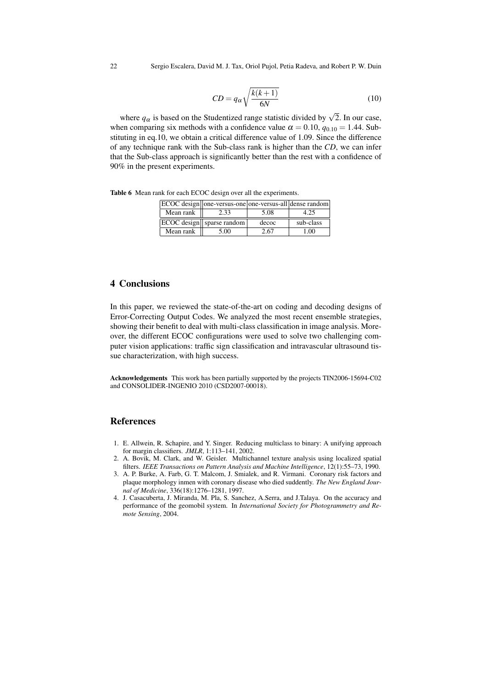22 Sergio Escalera, David M. J. Tax, Oriol Pujol, Petia Radeva, and Robert P. W. Duin

$$
CD = q_{\alpha} \sqrt{\frac{k(k+1)}{6N}}
$$
 (10)

where  $q_{\alpha}$  is based on the Studentized range statistic divided by  $\sqrt{2}$ . In our case, when comparing six methods with a confidence value  $\alpha = 0.10$ ,  $q_{0.10} = 1.44$ . Substituting in eq.10, we obtain a critical difference value of 1.09. Since the difference of any technique rank with the Sub-class rank is higher than the *CD*, we can infer that the Sub-class approach is significantly better than the rest with a confidence of 90% in the present experiments.

|           | ECOC design   one-versus-one   one-versus-all   dense random |       |           |
|-----------|--------------------------------------------------------------|-------|-----------|
| Mean rank | 2.33                                                         | 5.08  |           |
|           | ECOC design sparse random                                    | decoc | sub-class |
| Mean rank | 5.00                                                         | 1.67  | - ( ) ( ) |

Table 6 Mean rank for each ECOC design over all the experiments.

# 4 Conclusions

In this paper, we reviewed the state-of-the-art on coding and decoding designs of Error-Correcting Output Codes. We analyzed the most recent ensemble strategies, showing their benefit to deal with multi-class classification in image analysis. Moreover, the different ECOC configurations were used to solve two challenging computer vision applications: traffic sign classification and intravascular ultrasound tissue characterization, with high success.

Acknowledgements This work has been partially supported by the projects TIN2006-15694-C02 and CONSOLIDER-INGENIO 2010 (CSD2007-00018).

### References

- 1. E. Allwein, R. Schapire, and Y. Singer. Reducing multiclass to binary: A unifying approach for margin classifiers. *JMLR*, 1:113–141, 2002.
- 2. A. Bovik, M. Clark, and W. Geisler. Multichannel texture analysis using localized spatial filters. *IEEE Transactions on Pattern Analysis and Machine Intelligence*, 12(1):55–73, 1990.
- 3. A. P. Burke, A. Farb, G. T. Malcom, J. Smialek, and R. Virmani. Coronary risk factors and plaque morphology inmen with coronary disease who died suddently. *The New England Journal of Medicine*, 336(18):1276–1281, 1997.
- 4. J. Casacuberta, J. Miranda, M. Pla, S. Sanchez, A.Serra, and J.Talaya. On the accuracy and performance of the geomobil system. In *International Society for Photogrammetry and Remote Sensing*, 2004.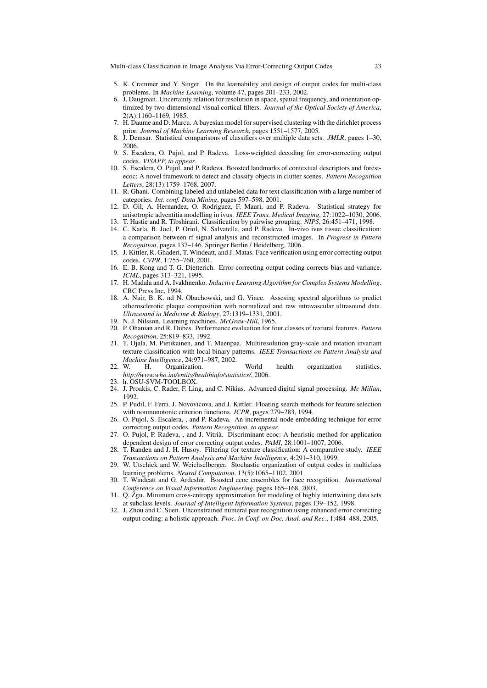Multi-class Classification in Image Analysis Via Error-Correcting Output Codes 23

- 5. K. Crammer and Y. Singer. On the learnability and design of output codes for multi-class problems. In *Machine Learning*, volume 47, pages 201–233, 2002.
- 6. J. Daugman. Uncertainty relation for resolution in space, spatial frequency, and orientation optimized by two-dimensional visual cortical filters. *Journal of the Optical Society of America*, 2(A):1160–1169, 1985.
- 7. H. Daume and D. Marcu. A bayesian model for supervised clustering with the dirichlet process prior. *Journal of Machine Learning Research*, pages 1551–1577, 2005.
- 8. J. Demsar. Statistical comparisons of classifiers over multiple data sets. *JMLR*, pages 1–30, 2006.
- 9. S. Escalera, O. Pujol, and P. Radeva. Loss-weighted decoding for error-correcting output codes. *VISAPP, to appear*.
- 10. S. Escalera, O. Pujol, and P. Radeva. Boosted landmarks of contextual descriptors and forestecoc: A novel framework to detect and classify objects in clutter scenes. *Pattern Recognition Letters*, 28(13):1759–1768, 2007.
- 11. R. Ghani. Combining labeled and unlabeled data for text classification with a large number of categories. *Int. conf. Data Mining*, pages 597–598, 2001.
- 12. D. Gil, A. Hernandez, O. Rodriguez, F. Mauri, and P. Radeva. Statistical strategy for anisotropic adventitia modelling in ivus. *IEEE Trans. Medical Imaging*, 27:1022–1030, 2006.
- 13. T. Hastie and R. Tibshirani. Classification by pairwise grouping. *NIPS*, 26:451–471, 1998. 14. C. Karla, B. Joel, P. Oriol, N. Salvatella, and P. Radeva. In-vivo ivus tissue classification: a comparison between rf signal analysis and reconstructed images. In *Progress in Pattern Recognition*, pages 137–146. Springer Berlin / Heidelberg, 2006.
- 15. J. Kittler, R. Ghaderi, T. Windeatt, and J. Matas. Face verification using error correcting output codes. *CVPR*, 1:755–760, 2001.
- 16. E. B. Kong and T. G. Dietterich. Error-correcting output coding corrects bias and variance. *ICML*, pages 313–321, 1995.
- 17. H. Madala and A. Ivakhnenko. *Inductive Learning Algorithm for Complex Systems Modelling*. CRC Press Inc, 1994.
- 18. A. Nair, B. K. nd N. Obuchowski, and G. Vince. Assesing spectral algorithms to predict atherosclerotic plaque composition with normalized and raw intravascular ultrasound data. *Ultrasound in Medicine & Biology*, 27:1319–1331, 2001.
- 19. N. J. Nilsson. Learning machines. *McGraw-Hill*, 1965.
- 20. P. Ohanian and R. Dubes. Performance evaluation for four classes of textural features. *Pattern Recognition*, 25:819–833, 1992.
- 21. T. Ojala, M. Pietikainen, and T. Maenpaa. Multiresolution gray-scale and rotation invariant texture classification with local binary patterns. *IEEE Transactions on Pattern Analysis and Machine Intelligence*, 24:971–987, 2002.
- Organization. World health organization statistics. *http://www.who.int/entity/healthinfo/statistics/*, 2006.
- 23. h. OSU-SVM-TOOLBOX.
- 24. J. Proakis, C. Rader, F. Ling, and C. Nikias. Advanced digital signal processing. *Mc Millan*, 1992.
- 25. P. Pudil, F. Ferri, J. Novovicova, and J. Kittler. Floating search methods for feature selection with nonmonotonic criterion functions. *ICPR*, pages 279–283, 1994.
- 26. O. Pujol, S. Escalera, , and P. Radeva. An incremental node embedding technique for error correcting output codes. *Pattern Recognition, to appear*.
- 27. O. Pujol, P. Radeva, , and J. Vitria. Discriminant ecoc: A heuristic method for application ` dependent design of error correcting output codes. *PAMI*, 28:1001–1007, 2006.
- 28. T. Randen and J. H. Husoy. Filtering for texture classification: A comparative study. *IEEE Transactions on Pattern Analysis and Machine Intelligence*, 4:291–310, 1999.
- 29. W. Utschick and W. Weichselberger. Stochastic organization of output codes in multiclass learning problems. *Neural Computation*, 13(5):1065–1102, 2001.
- 30. T. Windeatt and G. Ardeshir. Boosted ecoc ensembles for face recognition. *International Conference on Visual Information Engineering*, pages 165–168, 2003.
- 31. Q. Zgu. Minimum cross-entropy approximation for modeling of highly intertwining data sets at subclass levels. *Journal of Intelligent Information Systems*, pages 139–152, 1998.
- 32. J. Zhou and C. Suen. Unconstrained numeral pair recognition using enhanced error correcting output coding: a holistic approach. *Proc. in Conf. on Doc. Anal. and Rec.*, 1:484–488, 2005.